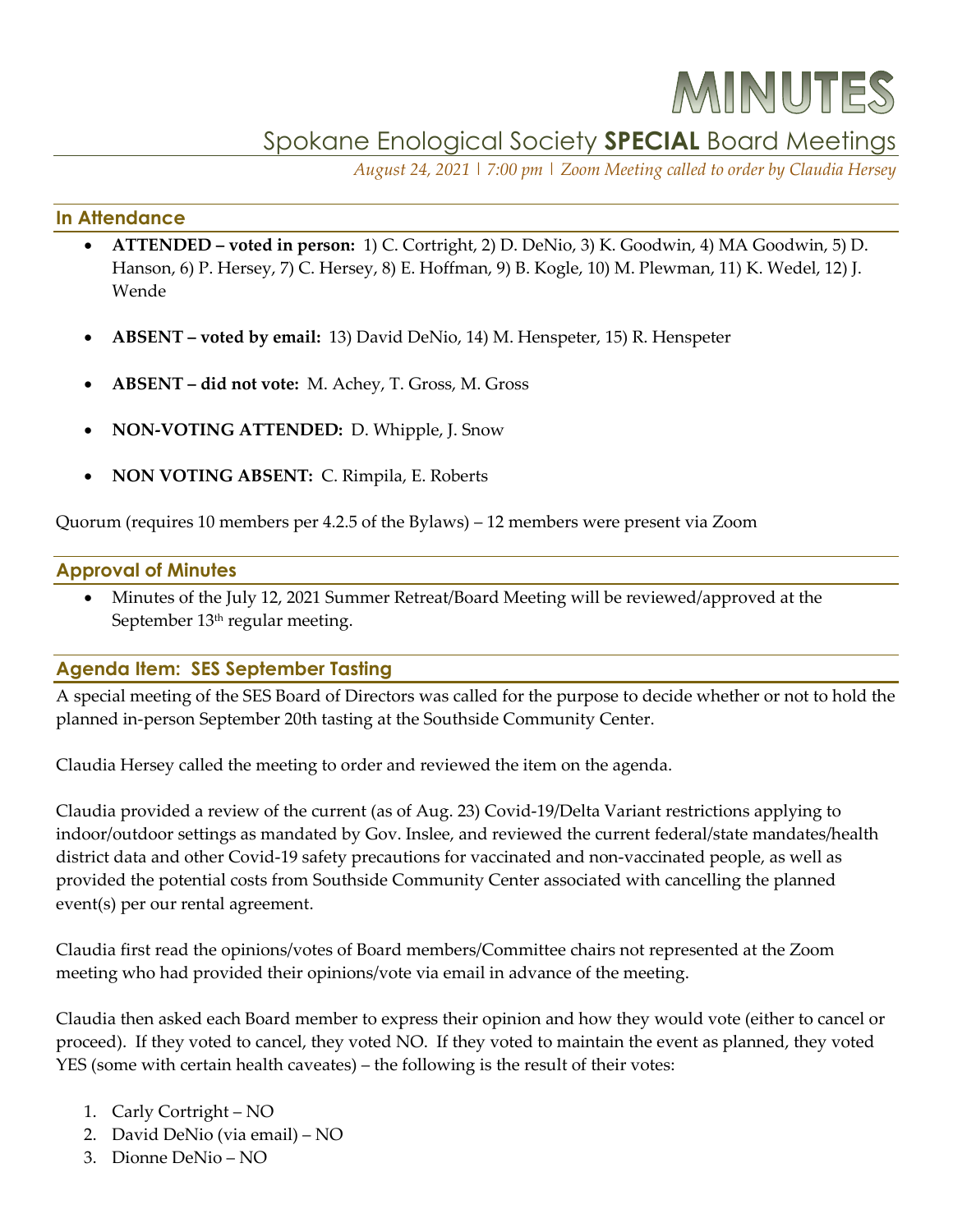# MINUTES

# Spokane Enological Society **SPECIAL** Board Meetings

*August 24, 2021 | 7:00 pm | Zoom Meeting called to order by Claudia Hersey*

### **In Attendance**

- **ATTENDED – voted in person:** 1) C. Cortright, 2) D. DeNio, 3) K. Goodwin, 4) MA Goodwin, 5) D. Hanson, 6) P. Hersey, 7) C. Hersey, 8) E. Hoffman, 9) B. Kogle, 10) M. Plewman, 11) K. Wedel, 12) J. Wende
- **ABSENT – voted by email:** 13) David DeNio, 14) M. Henspeter, 15) R. Henspeter
- **ABSENT – did not vote:** M. Achey, T. Gross, M. Gross
- **NON-VOTING ATTENDED:** D. Whipple, J. Snow
- **NON VOTING ABSENT:** C. Rimpila, E. Roberts

Quorum (requires 10 members per 4.2.5 of the Bylaws) – 12 members were present via Zoom

#### **Approval of Minutes**

• Minutes of the July 12, 2021 Summer Retreat/Board Meeting will be reviewed/approved at the September 13<sup>th</sup> regular meeting.

## **Agenda Item: SES September Tasting**

A special meeting of the SES Board of Directors was called for the purpose to decide whether or not to hold the planned in-person September 20th tasting at the Southside Community Center.

Claudia Hersey called the meeting to order and reviewed the item on the agenda.

Claudia provided a review of the current (as of Aug. 23) Covid-19/Delta Variant restrictions applying to indoor/outdoor settings as mandated by Gov. Inslee, and reviewed the current federal/state mandates/health district data and other Covid-19 safety precautions for vaccinated and non-vaccinated people, as well as provided the potential costs from Southside Community Center associated with cancelling the planned event(s) per our rental agreement.

Claudia first read the opinions/votes of Board members/Committee chairs not represented at the Zoom meeting who had provided their opinions/vote via email in advance of the meeting.

Claudia then asked each Board member to express their opinion and how they would vote (either to cancel or proceed). If they voted to cancel, they voted NO. If they voted to maintain the event as planned, they voted YES (some with certain health caveates) – the following is the result of their votes:

- 1. Carly Cortright NO
- 2. David DeNio (via email) NO
- 3. Dionne DeNio NO